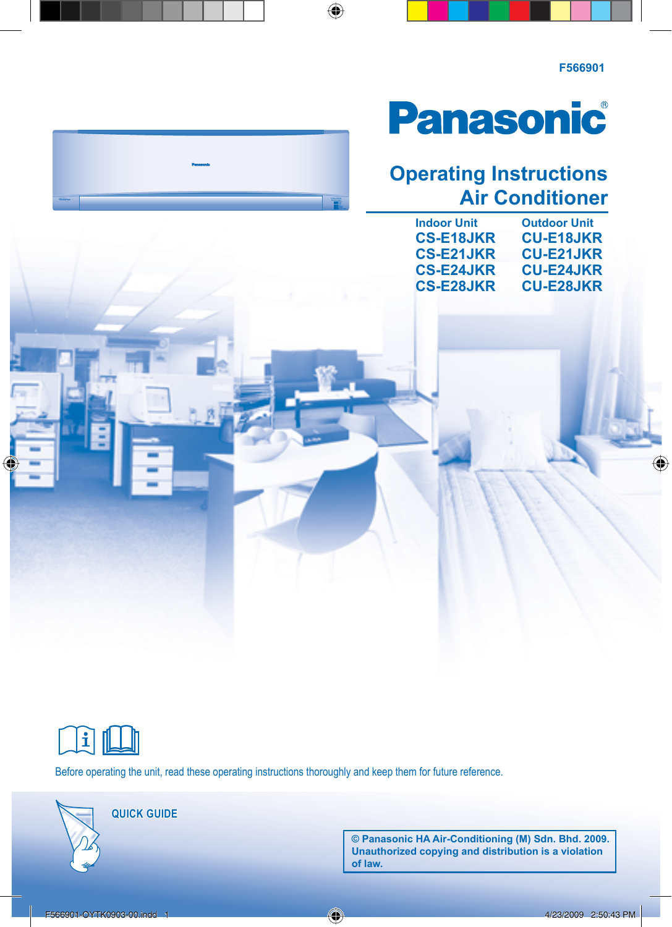# **Panasonic**

### **Operating Instructions Air Conditioner**

| <b>Indoor Unit</b> | <b>Outdoor Unit</b> |
|--------------------|---------------------|
| <b>CS-E18JKR</b>   | <b>CU-E18JKR</b>    |
| <b>CS-E21JKR</b>   | <b>CU-E21JKR</b>    |
| <b>CS-E24JKR</b>   | <b>CU-E24JKR</b>    |
| <b>CS-E28JKR</b>   | <b>CU-E28JKR</b>    |
|                    |                     |



Before operating the unit, read these operating instructions thoroughly and keep them for future reference.

**QUICK GUIDE** 

**© Panasonic HA Air-Conditioning (M) Sdn. Bhd. 2009. Unauthorized copying and distribution is a violation of law.**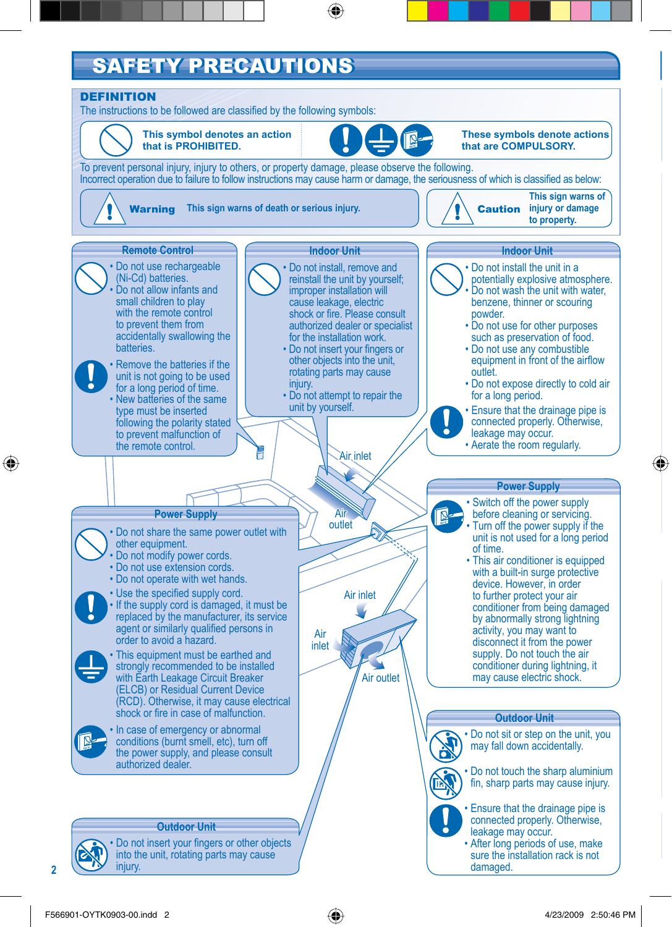### **SAFETY PRECAUTIONS**

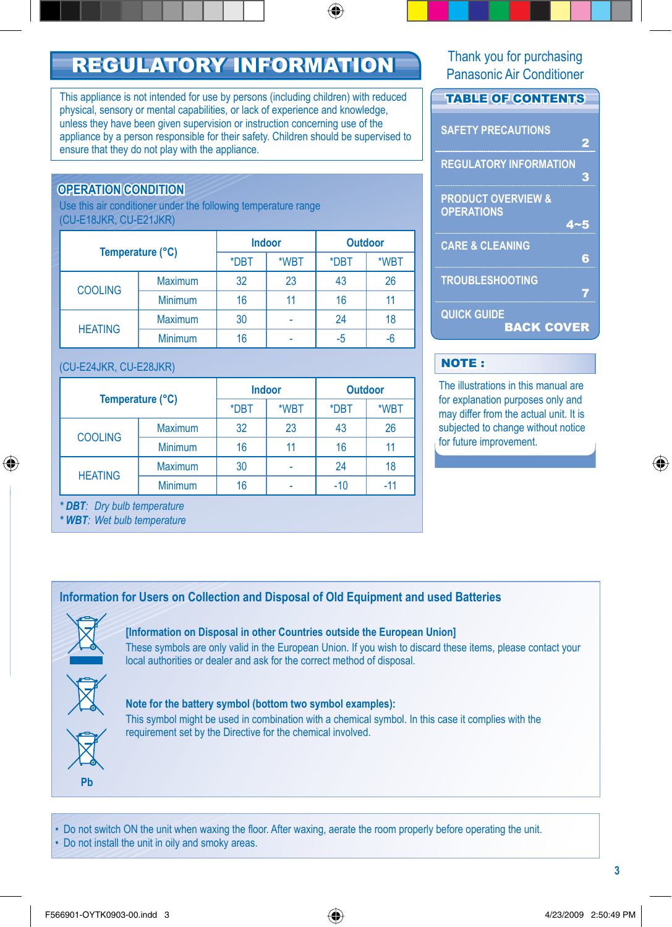## REGULATORY INFORMATION Thank you for purchasing

This appliance is not intended for use by persons (including children) with reduced physical, sensory or mental capabilities, or lack of experience and knowledge, unless they have been given supervision or instruction concerning use of the appliance by a person responsible for their safety. Children should be supervised to ensure that they do not play with the appliance.

### **OPERATION CONDITION**

Use this air conditioner under the following temperature range (CU-E18JKR, CU-E21JKR)

| Temperature (°C) |                | <b>Indoor</b> |      | <b>Outdoor</b> |      |
|------------------|----------------|---------------|------|----------------|------|
|                  |                | *DBT          | *WBT | *DBT           | *WBT |
| <b>COOLING</b>   | <b>Maximum</b> | 32            | 23   | 43             | 26   |
|                  | <b>Minimum</b> | 16            | 11   | 16             |      |
| <b>HEATING</b>   | <b>Maximum</b> | 30            |      | 24             | 18   |
|                  | <b>Minimum</b> | 16            |      | -5             |      |

#### (CU-E24JKR, CU-E28JKR)

| Temperature (°C) |    | Indoor |       | <b>Outdoor</b> |  |
|------------------|----|--------|-------|----------------|--|
|                  |    | *WBT   | *DBT  | *WBT           |  |
| <b>Maximum</b>   | 32 | 23     | 43    | 26             |  |
| <b>Minimum</b>   | 16 | 11     | 16    | 11             |  |
| <b>Maximum</b>   | 30 |        | 24    | 18             |  |
| <b>Minimum</b>   | 16 |        | $-10$ | $-11$          |  |
|                  |    | *DBT   |       |                |  |

*\* DBT: Dry bulb temperature*

*\* WBT: Wet bulb temperature*

Panasonic Air Conditioner

### **TABLE OF CONTENTS SAFETY PRECAUTIONS** 2 **REGULATORY INFORMATION** 3 **PRODUCT OVERVIEW & OPERATIONS** 4~5 **CARE & CLEANING** 6 **TROUBLESHOOTING** 7 **QUICK GUIDE** BACK COVER

### NOTE :

The illustrations in this manual are for explanation purposes only and may differ from the actual unit. It is subjected to change without notice for future improvement.

#### **Information for Users on Collection and Disposal of Old Equipment and used Batteries**



### **[Information on Disposal in other Countries outside the European Union]**

These symbols are only valid in the European Union. If you wish to discard these items, please contact your local authorities or dealer and ask for the correct method of disposal.



**Pb**

#### **Note for the battery symbol (bottom two symbol examples):**

This symbol might be used in combination with a chemical symbol. In this case it complies with the requirement set by the Directive for the chemical involved.

• Do not switch ON the unit when waxing the floor. After waxing, aerate the room properly before operating the unit.

• Do not install the unit in oily and smoky areas.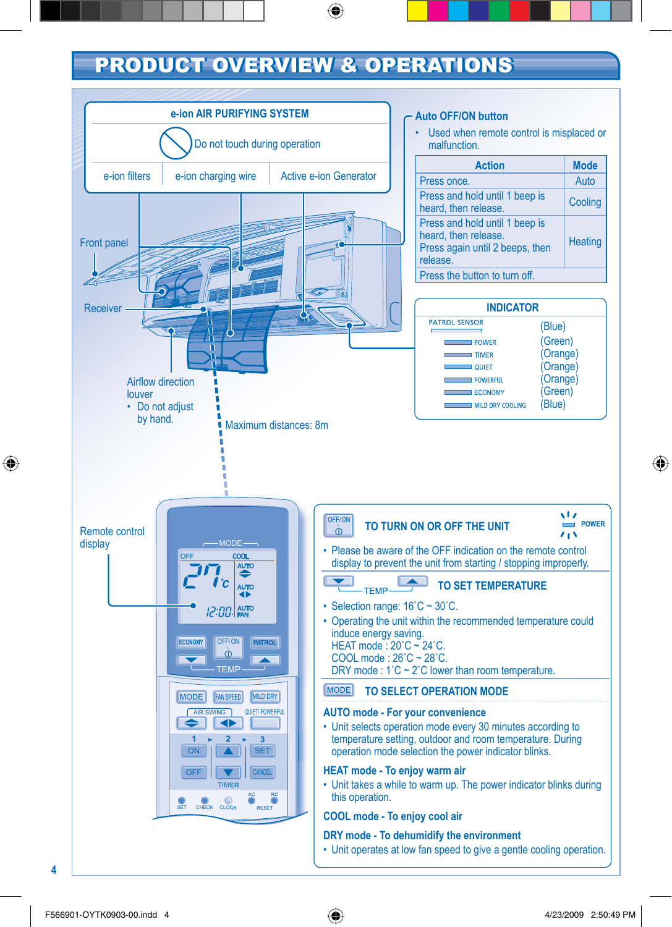### PRODUCT OVERVIEW & OPERATIONS

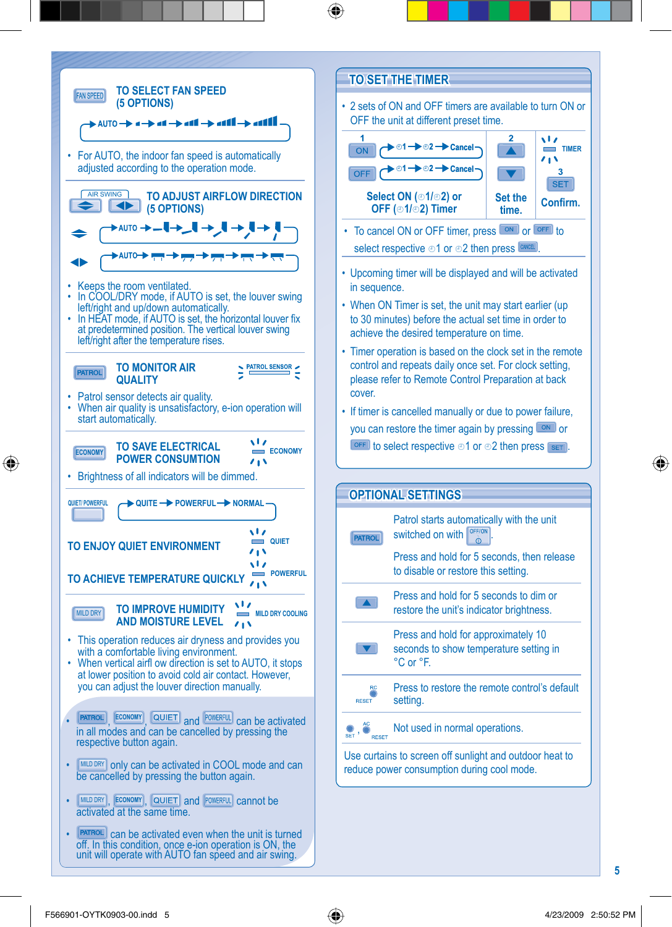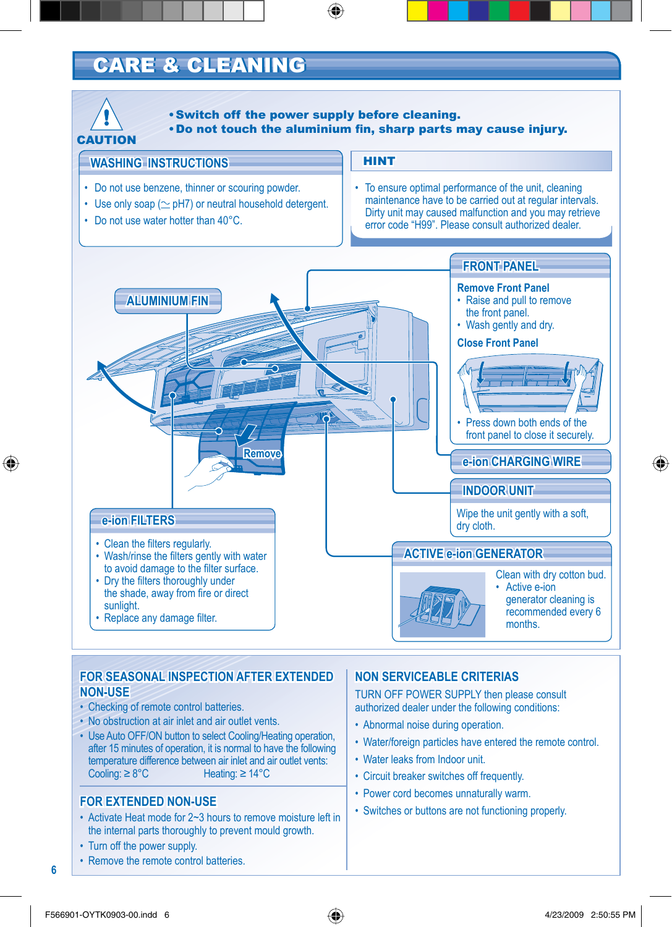### **CARE & CLEANING**



### **FOR SEASONAL INSPECTION AFTER EXTENDED NON-USE**

- Checking of remote control batteries.
- No obstruction at air inlet and air outlet vents.
- Use Auto OFF/ON button to select Cooling/Heating operation, after 15 minutes of operation, it is normal to have the following temperature difference between air inlet and air outlet vents:<br>Cooling:  $\geq 8^{\circ}C$  Heating:  $\geq 14^{\circ}C$ Heating: ≥ 14°C

- Activate Heat mode for 2~3 hours to remove moisture left in the internal parts thoroughly to prevent mould growth.
- Turn off the power supply.

**6**

• Remove the remote control batteries.

#### **NON SERVICEABLE CRITERIAS**

TURN OFF POWER SUPPLY then please consult authorized dealer under the following conditions:

- Abnormal noise during operation.
- Water/foreign particles have entered the remote control.
- Water leaks from Indoor unit.
- Circuit breaker switches off frequently.
- Power cord becomes unnaturally warm.
- **FOR EXTENDED NON-USE**<br>• Switches or buttons are not functioning properly.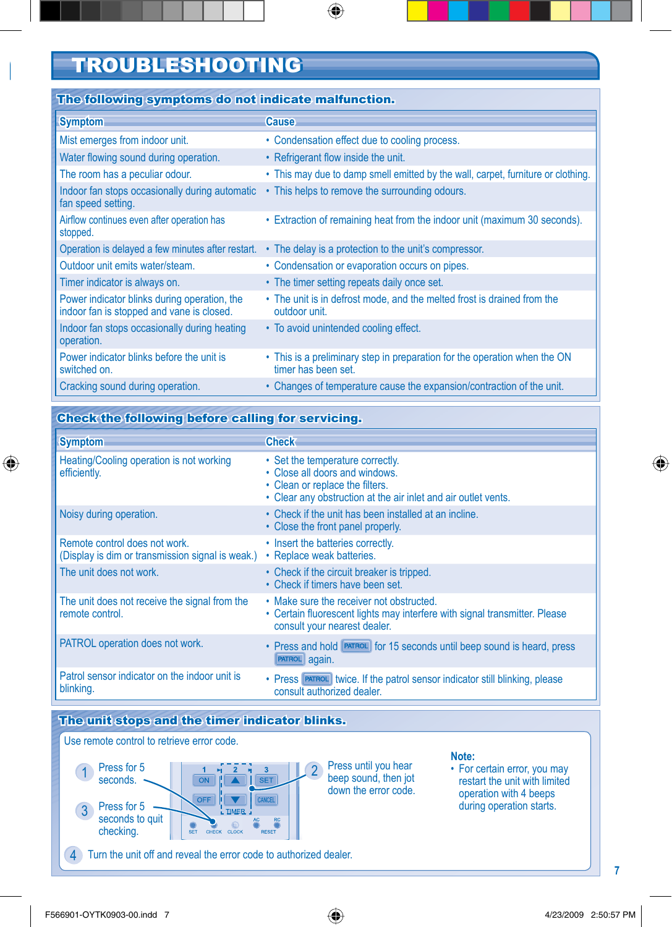### TROUBLESHOOTING

#### The following symptoms do not indicate malfunction.

| <b>Symptom</b>                                                                            | <b>Cause</b>                                                                                     |
|-------------------------------------------------------------------------------------------|--------------------------------------------------------------------------------------------------|
| Mist emerges from indoor unit.                                                            | • Condensation effect due to cooling process.                                                    |
| Water flowing sound during operation.                                                     | • Refrigerant flow inside the unit.                                                              |
| The room has a peculiar odour.                                                            | • This may due to damp smell emitted by the wall, carpet, furniture or clothing.                 |
| Indoor fan stops occasionally during automatic<br>fan speed setting.                      | • This helps to remove the surrounding odours.                                                   |
| Airflow continues even after operation has<br>stopped.                                    | • Extraction of remaining heat from the indoor unit (maximum 30 seconds).                        |
| Operation is delayed a few minutes after restart.                                         | • The delay is a protection to the unit's compressor.                                            |
| Outdoor unit emits water/steam.                                                           | • Condensation or evaporation occurs on pipes.                                                   |
| Timer indicator is always on.                                                             | • The timer setting repeats daily once set.                                                      |
| Power indicator blinks during operation, the<br>indoor fan is stopped and vane is closed. | • The unit is in defrost mode, and the melted frost is drained from the<br>outdoor unit.         |
| Indoor fan stops occasionally during heating<br>operation.                                | • To avoid unintended cooling effect.                                                            |
| Power indicator blinks before the unit is<br>switched on.                                 | • This is a preliminary step in preparation for the operation when the ON<br>timer has been set. |
| Cracking sound during operation.                                                          | • Changes of temperature cause the expansion/contraction of the unit.                            |

#### Check the following before calling for servicing.

| <b>Symptom</b>                                                                    | <b>Check</b>                                                                                                                                                            |
|-----------------------------------------------------------------------------------|-------------------------------------------------------------------------------------------------------------------------------------------------------------------------|
| Heating/Cooling operation is not working<br>efficiently.                          | • Set the temperature correctly.<br>• Close all doors and windows.<br>• Clean or replace the filters.<br>• Clear any obstruction at the air inlet and air outlet vents. |
| Noisy during operation.                                                           | • Check if the unit has been installed at an incline.<br>• Close the front panel properly.                                                                              |
| Remote control does not work.<br>(Display is dim or transmission signal is weak.) | • Insert the batteries correctly.<br>• Replace weak batteries.                                                                                                          |
| The unit does not work.                                                           | • Check if the circuit breaker is tripped.<br>• Check if timers have been set.                                                                                          |
| The unit does not receive the signal from the<br>remote control.                  | • Make sure the receiver not obstructed.<br>• Certain fluorescent lights may interfere with signal transmitter. Please<br>consult your nearest dealer.                  |
| PATROL operation does not work.                                                   | • Press and hold PATROL for 15 seconds until beep sound is heard, press<br>PATROL again.                                                                                |
| Patrol sensor indicator on the indoor unit is<br>blinking.                        | • Press <b>PATROL</b> twice. If the patrol sensor indicator still blinking, please<br>consult authorized dealer.                                                        |
|                                                                                   |                                                                                                                                                                         |

### The unit stops and the timer indicator blinks.

Use remote control to retrieve error code.



Press until you hear beep sound, then jot down the error code.

#### **Note:**

• For certain error, you may restart the unit with limited operation with 4 beeps during operation starts.

4 Turn the unit off and reveal the error code to authorized dealer.